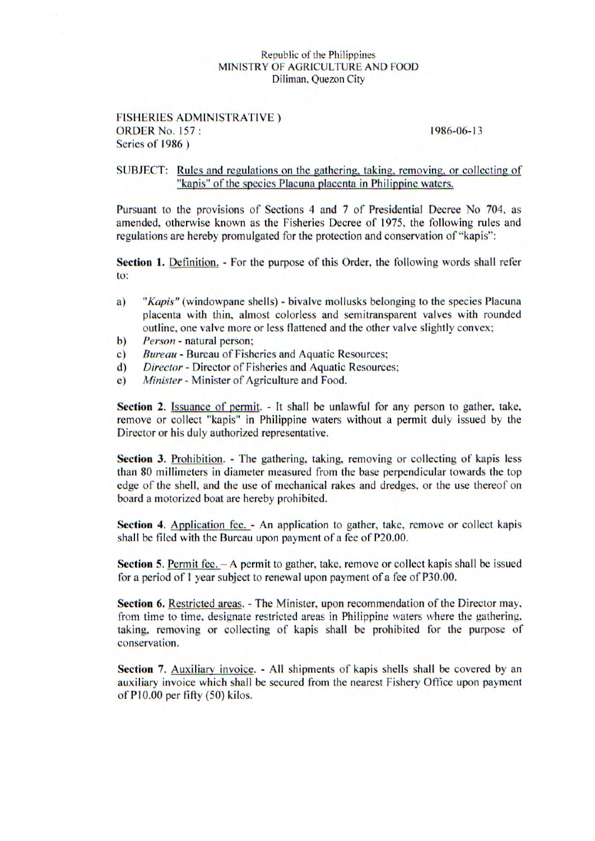## Republic of the Philippines MINISTRY OF AGRICULTURE AND FOOD Diliman, Quezon City

## FISHERIES ADMINISTRATIVE) ORDER No. *157:* 1986-06-13 Series of **1986)**

## SUBJECT: Rules and regulations on the gathering, taking, removing, or collecting of "kapis" of the species Placuna placenta in Philippine waters.

Pursuant to the provisions of Sections 4 and 7 of Presidential Decree No 704, as amended, otherwise known as the Fisheries Decree of 1975, the following rules and regulations are hereby promulgated for the protection and conservation of "kapis":

Section 1. Definition. - For the purpose of this Order, the following words shall refer to:

- *a) "Kapis"* (windowpane shells) bivalve mollusks belonging to the species Placuna placenta with thin, almost colorless and semitransparent valves with rounded outline, one valve more or less flattened and the other valve slightly convex;
- b) Person natural person;
- *c) Bureau*  Bureau of Fisheries and Aquatic Resources;
- d) Director Director of Fisheries and Aquatic Resources;
- e) Minister Minister of Agriculture and Food.

**Section** 2. Issuance of permit. - It shall be unlawful for any person to gather, take, remove or collect "kapis" in Philippine waters without a permit duly issued by the Director or his duly authorized representative.

**Section 3.** Prohibition. - The gathering, taking, removing or collecting of kapis less than 80 millimeters in diameter measured from the base perpendicular towards the top edge of the shell, and the use of mechanical rakes and dredges, or the use thereof on board a motorized boat are hereby prohibited.

**Section 4.** Application fee. - An application to gather, take, remove or collect kapis shall be filed with the Bureau upon payment of a fee of P20.00.

**Section 5.** Permit fee.  $-A$  permit to gather, take, remove or collect kapis shall be issued for a period of 1 year subject to renewal upon payment of a fee of P30.00.

**Section 6.** Restricted areas. - The Minister, upon recommendation of the Director may, from time to time, designate restricted areas in Philippine waters where the gathering, taking, removing or collecting of kapis shall be prohibited for the purpose of conservation.

**Section** 7. Auxiliary invoice. - All shipments of kapis shells shall be covered by an auxiliary invoice which shall be secured *from* the nearest Fishery Office upon payment ofPlO.00 per fifty *(50)* kilos.